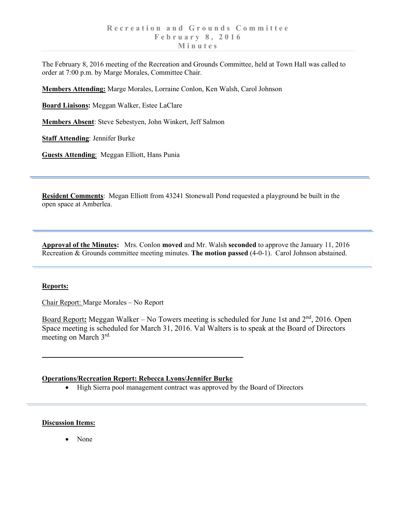The February 8, 2016 meeting of the Recreation and Grounds Committee, held at Town Hall was called to order at 7:00 p.m. by Marge Morales, Committee Chair.

**Members Attending:** Marge Morales, Lorraine Conlon, Ken Walsh, Carol Johnson

**Board Liaisons:** Meggan Walker, Estee LaClare

**Members Absent**: Steve Sebestyen, John Winkert, Jeff Salmon

**Staff Attending**: Jennifer Burke

**Guests Attending**: Meggan Elliott, Hans Punia

**Resident Comments**: Megan Elliott from 43241 Stonewall Pond requested a playground be built in the open space at Amberlea.

**Approval of the Minutes:** Mrs. Conlon **moved** and Mr. Walsh **seconded** to approve the January 11, 2016 Recreation & Grounds committee meeting minutes. **The motion passed** (4-0-1). Carol Johnson abstained.

## **Reports:**

Chair Report: Marge Morales – No Report

Board Report: Meggan Walker – No Towers meeting is scheduled for June 1st and 2<sup>nd</sup>, 2016. Open Space meeting is scheduled for March 31, 2016. Val Walters is to speak at the Board of Directors meeting on March 3rd.

## **Operations/Recreation Report: Rebecca Lyons/Jennifer Burke**

• High Sierra pool management contract was approved by the Board of Directors

## **Discussion Items:**

• None